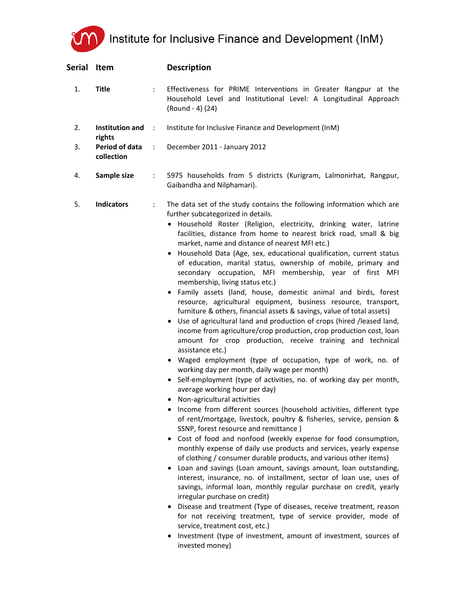## Institute for Inclusive Finance and Development (InM)

| Serial Item |                                  |                      | <b>Description</b>                                                                                                                                                                                                                                                                                                                                                                                                                                                                                                                                                                                                                                                                                                                                                                                                                                                                                                                                                                                                                                                                                                                                                                                                                                                                                                                                                                                                                                                                                                                                                                                                                                                                                                                                                                                                                                                                                                                                                                                                                                                                                                                                                                        |
|-------------|----------------------------------|----------------------|-------------------------------------------------------------------------------------------------------------------------------------------------------------------------------------------------------------------------------------------------------------------------------------------------------------------------------------------------------------------------------------------------------------------------------------------------------------------------------------------------------------------------------------------------------------------------------------------------------------------------------------------------------------------------------------------------------------------------------------------------------------------------------------------------------------------------------------------------------------------------------------------------------------------------------------------------------------------------------------------------------------------------------------------------------------------------------------------------------------------------------------------------------------------------------------------------------------------------------------------------------------------------------------------------------------------------------------------------------------------------------------------------------------------------------------------------------------------------------------------------------------------------------------------------------------------------------------------------------------------------------------------------------------------------------------------------------------------------------------------------------------------------------------------------------------------------------------------------------------------------------------------------------------------------------------------------------------------------------------------------------------------------------------------------------------------------------------------------------------------------------------------------------------------------------------------|
| 1.          | <b>Title</b>                     |                      | Effectiveness for PRIME Interventions in Greater Rangpur at the<br>Household Level and Institutional Level: A Longitudinal Approach<br>(Round - 4) (24)                                                                                                                                                                                                                                                                                                                                                                                                                                                                                                                                                                                                                                                                                                                                                                                                                                                                                                                                                                                                                                                                                                                                                                                                                                                                                                                                                                                                                                                                                                                                                                                                                                                                                                                                                                                                                                                                                                                                                                                                                                   |
| 2.          | <b>Institution and</b><br>rights | $\ddot{\phantom{a}}$ | Institute for Inclusive Finance and Development (InM)                                                                                                                                                                                                                                                                                                                                                                                                                                                                                                                                                                                                                                                                                                                                                                                                                                                                                                                                                                                                                                                                                                                                                                                                                                                                                                                                                                                                                                                                                                                                                                                                                                                                                                                                                                                                                                                                                                                                                                                                                                                                                                                                     |
| 3.          | Period of data<br>collection     | $\ddot{\phantom{a}}$ | December 2011 - January 2012                                                                                                                                                                                                                                                                                                                                                                                                                                                                                                                                                                                                                                                                                                                                                                                                                                                                                                                                                                                                                                                                                                                                                                                                                                                                                                                                                                                                                                                                                                                                                                                                                                                                                                                                                                                                                                                                                                                                                                                                                                                                                                                                                              |
| 4.          | Sample size                      | ÷                    | 5975 households from 5 districts (Kurigram, Lalmonirhat, Rangpur,<br>Gaibandha and Nilphamari).                                                                                                                                                                                                                                                                                                                                                                                                                                                                                                                                                                                                                                                                                                                                                                                                                                                                                                                                                                                                                                                                                                                                                                                                                                                                                                                                                                                                                                                                                                                                                                                                                                                                                                                                                                                                                                                                                                                                                                                                                                                                                           |
| 5.          | <b>Indicators</b>                | ÷                    | The data set of the study contains the following information which are<br>further subcategorized in details.<br>· Household Roster (Religion, electricity, drinking water, latrine<br>facilities, distance from home to nearest brick road, small & big<br>market, name and distance of nearest MFI etc.)<br>• Household Data (Age, sex, educational qualification, current status<br>of education, marital status, ownership of mobile, primary and<br>secondary occupation, MFI membership, year of first MFI<br>membership, living status etc.)<br>• Family assets (land, house, domestic animal and birds, forest<br>resource, agricultural equipment, business resource, transport,<br>furniture & others, financial assets & savings, value of total assets)<br>• Use of agricultural land and production of crops (hired /leased land,<br>income from agriculture/crop production, crop production cost, loan<br>amount for crop production, receive training and technical<br>assistance etc.)<br>• Waged employment (type of occupation, type of work, no. of<br>working day per month, daily wage per month)<br>• Self-employment (type of activities, no. of working day per month,<br>average working hour per day)<br>• Non-agricultural activities<br>Income from different sources (household activities, different type<br>of rent/mortgage, livestock, poultry & fisheries, service, pension &<br>SSNP, forest resource and remittance)<br>Cost of food and nonfood (weekly expense for food consumption,<br>monthly expense of daily use products and services, yearly expense<br>of clothing / consumer durable products, and various other items)<br>Loan and savings (Loan amount, savings amount, loan outstanding,<br>interest, insurance, no. of installment, sector of loan use, uses of<br>savings, informal loan, monthly regular purchase on credit, yearly<br>irregular purchase on credit)<br>Disease and treatment (Type of diseases, receive treatment, reason<br>for not receiving treatment, type of service provider, mode of<br>service, treatment cost, etc.)<br>Investment (type of investment, amount of investment, sources of<br>invested money) |